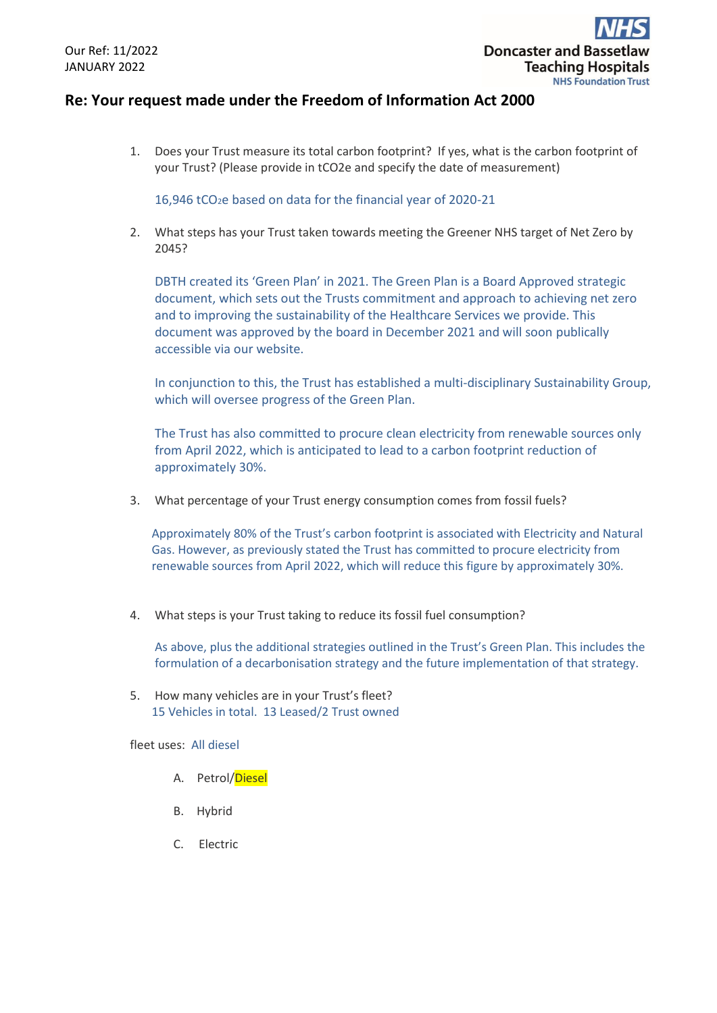## **Re: Your request made under the Freedom of Information Act 2000**

1. Does your Trust measure its total carbon footprint?  If yes, what is the carbon footprint of your Trust? (Please provide in tCO2e and specify the date of measurement)

16,946 tCO2e based on data for the financial year of 2020-21

2. What steps has your Trust taken towards meeting the Greener NHS target of Net Zero by 2045?

DBTH created its 'Green Plan' in 2021. The Green Plan is a Board Approved strategic document, which sets out the Trusts commitment and approach to achieving net zero and to improving the sustainability of the Healthcare Services we provide. This document was approved by the board in December 2021 and will soon publically accessible via our website.

In conjunction to this, the Trust has established a multi-disciplinary Sustainability Group, which will oversee progress of the Green Plan.

The Trust has also committed to procure clean electricity from renewable sources only from April 2022, which is anticipated to lead to a carbon footprint reduction of approximately 30%.

3. What percentage of your Trust energy consumption comes from fossil fuels?

Approximately 80% of the Trust's carbon footprint is associated with Electricity and Natural Gas. However, as previously stated the Trust has committed to procure electricity from renewable sources from April 2022, which will reduce this figure by approximately 30%.

4. What steps is your Trust taking to reduce its fossil fuel consumption?

As above, plus the additional strategies outlined in the Trust's Green Plan. This includes the formulation of a decarbonisation strategy and the future implementation of that strategy.

5. How many vehicles are in your Trust's fleet? 15 Vehicles in total. 13 Leased/2 Trust owned

fleet uses: All diesel

- A. Petrol/Diesel
- B. Hybrid
- C. Electric